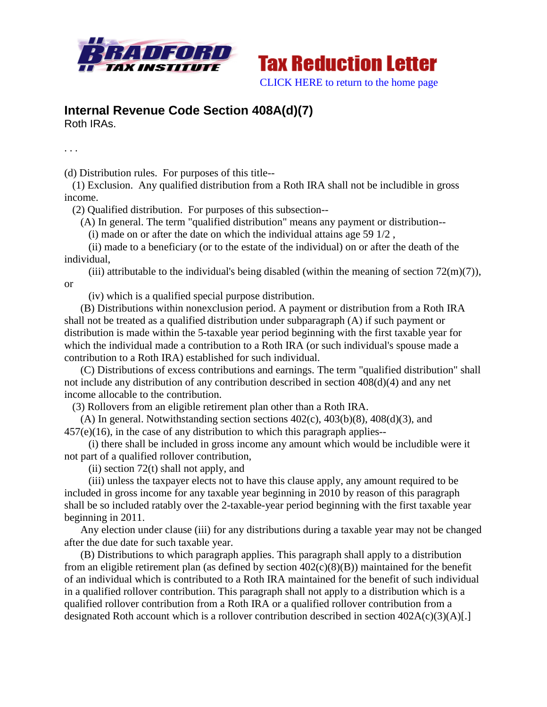



## **Internal Revenue Code Section 408A(d)(7)** Roth IRAs.

. . .

(d) Distribution rules. For purposes of this title--

 (1) Exclusion. Any qualified distribution from a Roth IRA shall not be includible in gross income.

(2) Qualified distribution. For purposes of this subsection--

(A) In general. The term "qualified distribution" means any payment or distribution--

(i) made on or after the date on which the individual attains age 59 1/2 ,

 (ii) made to a beneficiary (or to the estate of the individual) on or after the death of the individual,

(iii) attributable to the individual's being disabled (within the meaning of section  $72(m)(7)$ ), or

(iv) which is a qualified special purpose distribution.

 (B) Distributions within nonexclusion period. A payment or distribution from a Roth IRA shall not be treated as a qualified distribution under subparagraph (A) if such payment or distribution is made within the 5-taxable year period beginning with the first taxable year for which the individual made a contribution to a Roth IRA (or such individual's spouse made a contribution to a Roth IRA) established for such individual.

 (C) Distributions of excess contributions and earnings. The term "qualified distribution" shall not include any distribution of any contribution described in section 408(d)(4) and any net income allocable to the contribution.

(3) Rollovers from an eligible retirement plan other than a Roth IRA.

(A) In general. Notwithstanding section sections  $402(c)$ ,  $403(b)(8)$ ,  $408(d)(3)$ , and 457(e)(16), in the case of any distribution to which this paragraph applies--

 (i) there shall be included in gross income any amount which would be includible were it not part of a qualified rollover contribution,

(ii) section  $72(t)$  shall not apply, and

 (iii) unless the taxpayer elects not to have this clause apply, any amount required to be included in gross income for any taxable year beginning in 2010 by reason of this paragraph shall be so included ratably over the 2-taxable-year period beginning with the first taxable year beginning in 2011.

 Any election under clause (iii) for any distributions during a taxable year may not be changed after the due date for such taxable year.

 (B) Distributions to which paragraph applies. This paragraph shall apply to a distribution from an eligible retirement plan (as defined by section 402(c)(8)(B)) maintained for the benefit of an individual which is contributed to a Roth IRA maintained for the benefit of such individual in a qualified rollover contribution. This paragraph shall not apply to a distribution which is a qualified rollover contribution from a Roth IRA or a qualified rollover contribution from a designated Roth account which is a rollover contribution described in section 402A(c)(3)(A)[.]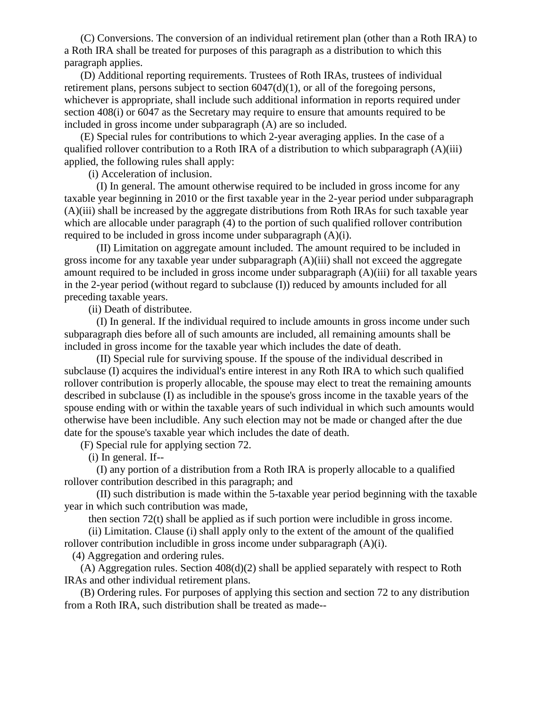(C) Conversions. The conversion of an individual retirement plan (other than a Roth IRA) to a Roth IRA shall be treated for purposes of this paragraph as a distribution to which this paragraph applies.

 (D) Additional reporting requirements. Trustees of Roth IRAs, trustees of individual retirement plans, persons subject to section  $6047(d)(1)$ , or all of the foregoing persons, whichever is appropriate, shall include such additional information in reports required under section 408(i) or 6047 as the Secretary may require to ensure that amounts required to be included in gross income under subparagraph (A) are so included.

 (E) Special rules for contributions to which 2-year averaging applies. In the case of a qualified rollover contribution to a Roth IRA of a distribution to which subparagraph  $(A)(iii)$ applied, the following rules shall apply:

(i) Acceleration of inclusion.

 (I) In general. The amount otherwise required to be included in gross income for any taxable year beginning in 2010 or the first taxable year in the 2-year period under subparagraph (A)(iii) shall be increased by the aggregate distributions from Roth IRAs for such taxable year which are allocable under paragraph (4) to the portion of such qualified rollover contribution required to be included in gross income under subparagraph (A)(i).

 (II) Limitation on aggregate amount included. The amount required to be included in gross income for any taxable year under subparagraph (A)(iii) shall not exceed the aggregate amount required to be included in gross income under subparagraph (A)(iii) for all taxable years in the 2-year period (without regard to subclause (I)) reduced by amounts included for all preceding taxable years.

(ii) Death of distributee.

 (I) In general. If the individual required to include amounts in gross income under such subparagraph dies before all of such amounts are included, all remaining amounts shall be included in gross income for the taxable year which includes the date of death.

 (II) Special rule for surviving spouse. If the spouse of the individual described in subclause (I) acquires the individual's entire interest in any Roth IRA to which such qualified rollover contribution is properly allocable, the spouse may elect to treat the remaining amounts described in subclause (I) as includible in the spouse's gross income in the taxable years of the spouse ending with or within the taxable years of such individual in which such amounts would otherwise have been includible. Any such election may not be made or changed after the due date for the spouse's taxable year which includes the date of death.

(F) Special rule for applying section 72.

(i) In general. If--

 (I) any portion of a distribution from a Roth IRA is properly allocable to a qualified rollover contribution described in this paragraph; and

 (II) such distribution is made within the 5-taxable year period beginning with the taxable year in which such contribution was made,

then section 72(t) shall be applied as if such portion were includible in gross income.

 (ii) Limitation. Clause (i) shall apply only to the extent of the amount of the qualified rollover contribution includible in gross income under subparagraph (A)(i).

(4) Aggregation and ordering rules.

 (A) Aggregation rules. Section 408(d)(2) shall be applied separately with respect to Roth IRAs and other individual retirement plans.

 (B) Ordering rules. For purposes of applying this section and section 72 to any distribution from a Roth IRA, such distribution shall be treated as made--